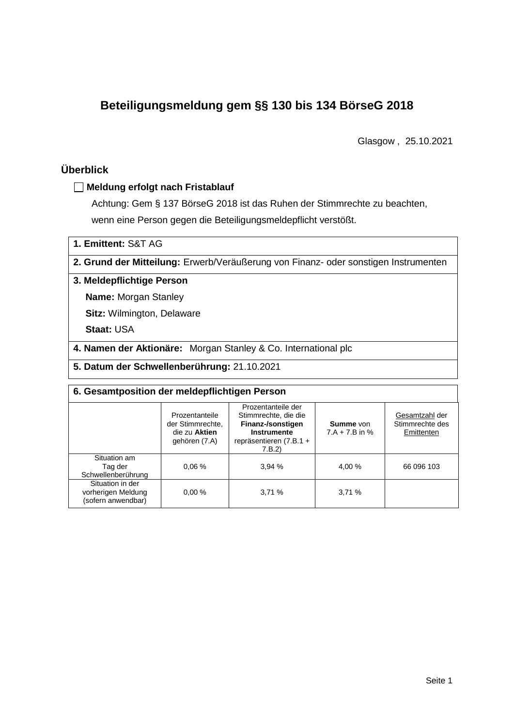# **Beteiligungsmeldung gem §§ 130 bis 134 BörseG 2018**

Glasgow , 25.10.2021

# **Überblick**

### **Meldung erfolgt nach Fristablauf**

Achtung: Gem § 137 BörseG 2018 ist das Ruhen der Stimmrechte zu beachten, wenn eine Person gegen die Beteiligungsmeldepflicht verstößt.

**1. Emittent:** S&T AG

**2. Grund der Mitteilung:** Erwerb/Veräußerung von Finanz- oder sonstigen Instrumenten

### **3. Meldepflichtige Person**

**Name:** Morgan Stanley

**Sitz:** Wilmington, Delaware

**Staat:** USA

**4. Namen der Aktionäre:** Morgan Stanley & Co. International plc

**5. Datum der Schwellenberührung:** 21.10.2021

| 6. Gesamtposition der meldepflichtigen Person                |                                                                      |                                                                                                                             |                                      |                                                 |  |  |  |  |
|--------------------------------------------------------------|----------------------------------------------------------------------|-----------------------------------------------------------------------------------------------------------------------------|--------------------------------------|-------------------------------------------------|--|--|--|--|
|                                                              | Prozentanteile<br>der Stimmrechte.<br>die zu Aktien<br>gehören (7.A) | Prozentanteile der<br>Stimmrechte, die die<br>Finanz-/sonstigen<br><b>Instrumente</b><br>repräsentieren $(7.B.1 +$<br>7.B.2 | <b>Summe</b> von<br>$7.A + 7.B$ in % | Gesamtzahl der<br>Stimmrechte des<br>Emittenten |  |  |  |  |
| Situation am<br>Tag der<br>Schwellenberührung                | 0.06%                                                                | 3.94%                                                                                                                       | 4,00 %                               | 66 096 103                                      |  |  |  |  |
| Situation in der<br>vorherigen Meldung<br>(sofern anwendbar) | 0.00%                                                                | 3,71%                                                                                                                       | 3,71%                                |                                                 |  |  |  |  |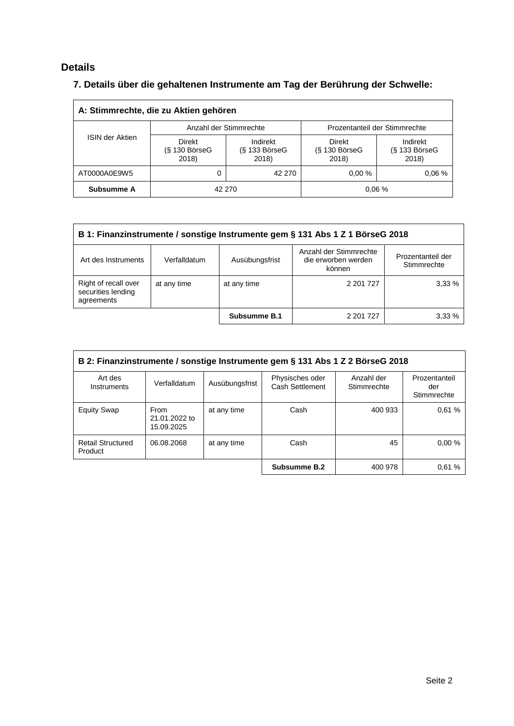# **Details**

# **7. Details über die gehaltenen Instrumente am Tag der Berührung der Schwelle:**

| A: Stimmrechte, die zu Aktien gehören |                                  |                                    |                                  |                                    |  |  |  |  |
|---------------------------------------|----------------------------------|------------------------------------|----------------------------------|------------------------------------|--|--|--|--|
|                                       |                                  | Anzahl der Stimmrechte             | Prozentanteil der Stimmrechte    |                                    |  |  |  |  |
| <b>ISIN der Aktien</b>                | Direkt<br>(§ 130 BörseG<br>2018) | Indirekt<br>(§ 133 BörseG<br>2018) | Direkt<br>(§ 130 BörseG<br>2018) | Indirekt<br>(§ 133 BörseG<br>2018) |  |  |  |  |
| AT0000A0E9W5                          |                                  | 42 270                             | 0.00%                            | 0.06%                              |  |  |  |  |
| Subsumme A                            |                                  | 42 270                             |                                  | 0.06%                              |  |  |  |  |

| B 1: Finanzinstrumente / sonstige Instrumente gem § 131 Abs 1 Z 1 BörseG 2018 |              |                |                                                         |                                  |  |  |
|-------------------------------------------------------------------------------|--------------|----------------|---------------------------------------------------------|----------------------------------|--|--|
| Art des Instruments                                                           | Verfalldatum | Ausübungsfrist | Anzahl der Stimmrechte<br>die erworben werden<br>können | Prozentanteil der<br>Stimmrechte |  |  |
| Right of recall over<br>securities lending<br>agreements                      | at any time  | at any time    | 2 201 7 27                                              | 3.33%                            |  |  |
|                                                                               |              | Subsumme B.1   | 2 201 7 27                                              | 3.33%                            |  |  |

| B 2: Finanzinstrumente / sonstige Instrumente gem § 131 Abs 1 Z 2 BörseG 2018 |                                     |                |                                    |                           |                                     |  |
|-------------------------------------------------------------------------------|-------------------------------------|----------------|------------------------------------|---------------------------|-------------------------------------|--|
| Art des<br>Instruments                                                        | Verfalldatum                        | Ausübungsfrist | Physisches oder<br>Cash Settlement | Anzahl der<br>Stimmrechte | Prozentanteil<br>der<br>Stimmrechte |  |
| <b>Equity Swap</b>                                                            | From<br>21.01.2022 to<br>15.09.2025 | at any time    | Cash                               | 400 933                   | 0.61%                               |  |
| <b>Retail Structured</b><br>Product                                           | 06.08.2068                          | at any time    | Cash                               | 45                        | 0.00%                               |  |
|                                                                               |                                     |                | Subsumme B.2                       | 400 978                   | 0.61%                               |  |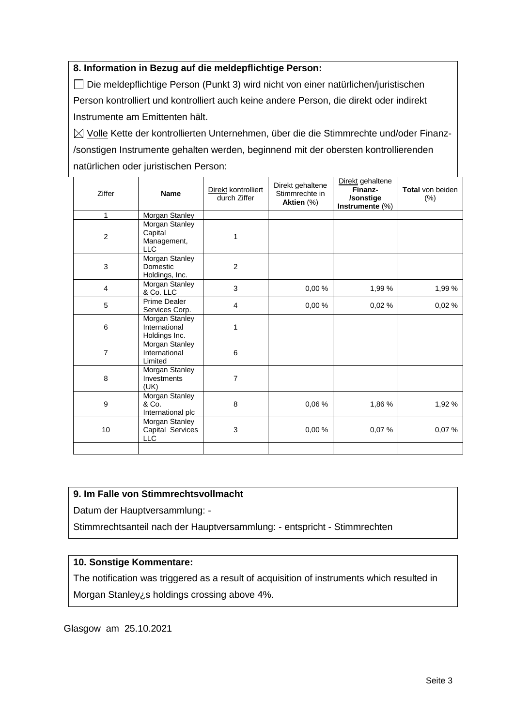### **8. Information in Bezug auf die meldepflichtige Person:**

Die meldepflichtige Person (Punkt 3) wird nicht von einer natürlichen/juristischen Person kontrolliert und kontrolliert auch keine andere Person, die direkt oder indirekt Instrumente am Emittenten hält.

 $\boxtimes$  Volle Kette der kontrollierten Unternehmen, über die die Stimmrechte und/oder Finanz-/sonstigen Instrumente gehalten werden, beginnend mit der obersten kontrollierenden natürlichen oder juristischen Person:

| Ziffer         | <b>Name</b>                                            | Direkt kontrolliert<br>durch Ziffer | Direkt gehaltene<br>Stimmrechte in<br>Aktien (%) | Direkt gehaltene<br>Finanz-<br>/sonstige<br>Instrumente (%) | Total von beiden<br>$(\%)$ |
|----------------|--------------------------------------------------------|-------------------------------------|--------------------------------------------------|-------------------------------------------------------------|----------------------------|
| 1              | Morgan Stanley                                         |                                     |                                                  |                                                             |                            |
| $\overline{c}$ | Morgan Stanley<br>Capital<br>Management,<br><b>LLC</b> | 1                                   |                                                  |                                                             |                            |
| $\mathbf{3}$   | <b>Morgan Stanley</b><br>Domestic<br>Holdings, Inc.    | $\overline{2}$                      |                                                  |                                                             |                            |
| $\overline{4}$ | Morgan Stanley<br>& Co. LLC                            | 3                                   | 0,00%                                            | 1,99 %                                                      | 1,99 %                     |
| 5              | Prime Dealer<br>Services Corp.                         | 4                                   | 0,00 %                                           | 0,02%                                                       | 0,02%                      |
| $\,6$          | Morgan Stanley<br>International<br>Holdings Inc.       | 1                                   |                                                  |                                                             |                            |
| $\overline{7}$ | Morgan Stanley<br>International<br>Limited             | 6                                   |                                                  |                                                             |                            |
| 8              | Morgan Stanley<br>Investments<br>(UK)                  | 7                                   |                                                  |                                                             |                            |
| 9              | <b>Morgan Stanley</b><br>& Co.<br>International plc    | 8                                   | 0,06 %                                           | 1,86 %                                                      | 1,92 %                     |
| 10             | Morgan Stanley<br>Capital Services<br><b>LLC</b>       | 3                                   | 0,00%                                            | 0,07%                                                       | 0,07%                      |
|                |                                                        |                                     |                                                  |                                                             |                            |

#### **9. Im Falle von Stimmrechtsvollmacht**

Datum der Hauptversammlung: -

Stimmrechtsanteil nach der Hauptversammlung: - entspricht - Stimmrechten

## **10. Sonstige Kommentare:**

The notification was triggered as a result of acquisition of instruments which resulted in Morgan Stanley¿s holdings crossing above 4%.

Glasgow am 25.10.2021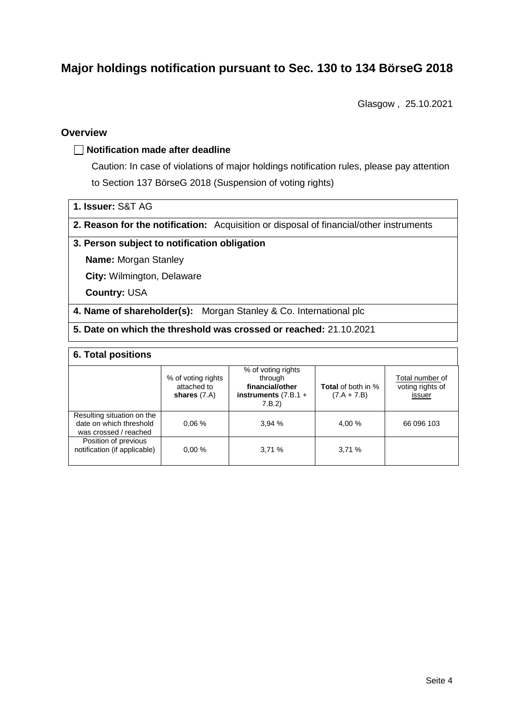# **Major holdings notification pursuant to Sec. 130 to 134 BörseG 2018**

Glasgow , 25.10.2021

### **Overview**

#### **Notification made after deadline**

Caution: In case of violations of major holdings notification rules, please pay attention to Section 137 BörseG 2018 (Suspension of voting rights)

- **1. Issuer:** S&T AG
- **2. Reason for the notification:** Acquisition or disposal of financial/other instruments

#### **3. Person subject to notification obligation**

**Name:** Morgan Stanley

**City:** Wilmington, Delaware

**Country:** USA

**4. Name of shareholder(s):** Morgan Stanley & Co. International plc

**5. Date on which the threshold was crossed or reached:** 21.10.2021

### **6. Total positions**

|                                                                                | % of voting rights<br>attached to<br>shares $(7.A)$ | % of voting rights<br>through<br>financial/other<br>instruments $(7.B.1 +$<br>7.B.2 | <b>Total</b> of both in %<br>$(7.A + 7.B)$ | Total number of<br>voting rights of<br>issuer |
|--------------------------------------------------------------------------------|-----------------------------------------------------|-------------------------------------------------------------------------------------|--------------------------------------------|-----------------------------------------------|
| Resulting situation on the<br>date on which threshold<br>was crossed / reached | 0.06%                                               | 3.94%                                                                               | 4.00 %                                     | 66 096 103                                    |
| Position of previous<br>notification (if applicable)                           | 0.00%                                               | 3,71%                                                                               | 3,71%                                      |                                               |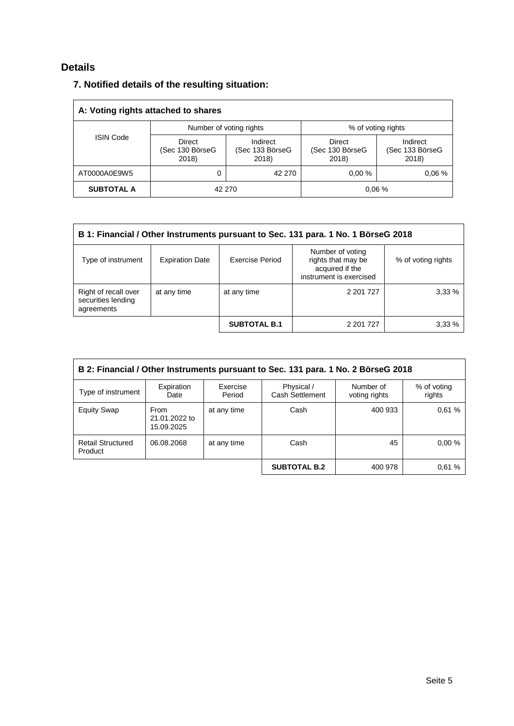# **Details**

## **7. Notified details of the resulting situation:**

| A: Voting rights attached to shares |                                    |                                      |                                    |                                      |  |  |  |
|-------------------------------------|------------------------------------|--------------------------------------|------------------------------------|--------------------------------------|--|--|--|
|                                     |                                    | Number of voting rights              | % of voting rights                 |                                      |  |  |  |
| <b>ISIN Code</b>                    | Direct<br>(Sec 130 BörseG<br>2018) | Indirect<br>(Sec 133 BörseG<br>2018) | Direct<br>(Sec 130 BörseG<br>2018) | Indirect<br>(Sec 133 BörseG<br>2018) |  |  |  |
| AT0000A0E9W5                        |                                    | 42 270                               | 0.00%                              | 0.06%                                |  |  |  |
| <b>SUBTOTAL A</b>                   |                                    | 42 270                               |                                    | 0.06%                                |  |  |  |

| B 1: Financial / Other Instruments pursuant to Sec. 131 para. 1 No. 1 BörseG 2018 |                        |                     |                                                                                      |                    |  |  |
|-----------------------------------------------------------------------------------|------------------------|---------------------|--------------------------------------------------------------------------------------|--------------------|--|--|
| Type of instrument                                                                | <b>Expiration Date</b> | Exercise Period     | Number of voting<br>rights that may be<br>acquired if the<br>instrument is exercised | % of voting rights |  |  |
| Right of recall over<br>securities lending<br>agreements                          | at any time            | at any time         | 2 201 7 27                                                                           | 3,33%              |  |  |
|                                                                                   |                        | <b>SUBTOTAL B.1</b> | 2 201 7 27                                                                           | 3.33 %             |  |  |

| B 2: Financial / Other Instruments pursuant to Sec. 131 para. 1 No. 2 BörseG 2018 |                                     |                    |                               |                            |                       |  |
|-----------------------------------------------------------------------------------|-------------------------------------|--------------------|-------------------------------|----------------------------|-----------------------|--|
| Type of instrument                                                                | Expiration<br>Date                  | Exercise<br>Period | Physical /<br>Cash Settlement | Number of<br>voting rights | % of voting<br>rights |  |
| <b>Equity Swap</b>                                                                | From<br>21.01.2022 to<br>15.09.2025 | at any time        | Cash                          | 400 933                    | 0.61%                 |  |
| <b>Retail Structured</b><br>Product                                               | 06.08.2068                          | at any time        | Cash                          | 45                         | 0.00%                 |  |
|                                                                                   |                                     |                    | <b>SUBTOTAL B.2</b>           | 400 978                    | 0.61%                 |  |